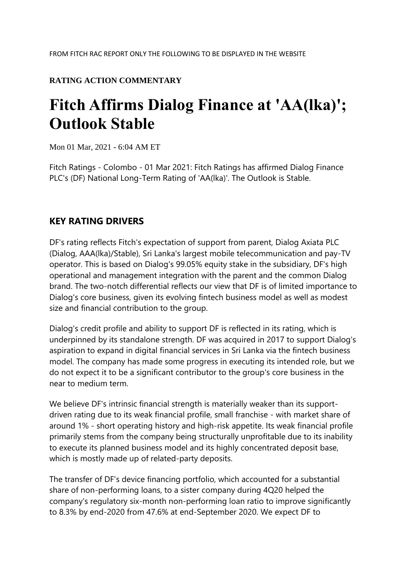## **RATING ACTION COMMENTARY**

# **Fitch Affirms Dialog Finance at 'AA(lka)'; Outlook Stable**

Mon 01 Mar, 2021 - 6:04 AM ET

Fitch Ratings - Colombo - 01 Mar 2021: Fitch Ratings has affirmed Dialog Finance PLC's (DF) National Long-Term Rating of 'AA(lka)'. The Outlook is Stable.

### **KEY RATING DRIVERS**

DF's rating reflects Fitch's expectation of support from parent, Dialog Axiata PLC (Dialog, AAA(lka)/Stable), Sri Lanka's largest mobile telecommunication and pay-TV operator. This is based on Dialog's 99.05% equity stake in the subsidiary, DF's high operational and management integration with the parent and the common Dialog brand. The two-notch differential reflects our view that DF is of limited importance to Dialog's core business, given its evolving fintech business model as well as modest size and financial contribution to the group.

Dialog's credit profile and ability to support DF is reflected in its rating, which is underpinned by its standalone strength. DF was acquired in 2017 to support Dialog's aspiration to expand in digital financial services in Sri Lanka via the fintech business model. The company has made some progress in executing its intended role, but we do not expect it to be a significant contributor to the group's core business in the near to medium term.

We believe DF's intrinsic financial strength is materially weaker than its supportdriven rating due to its weak financial profile, small franchise - with market share of around 1% - short operating history and high-risk appetite. Its weak financial profile primarily stems from the company being structurally unprofitable due to its inability to execute its planned business model and its highly concentrated deposit base, which is mostly made up of related-party deposits.

The transfer of DF's device financing portfolio, which accounted for a substantial share of non-performing loans, to a sister company during 4Q20 helped the company's regulatory six-month non-performing loan ratio to improve significantly to 8.3% by end-2020 from 47.6% at end-September 2020. We expect DF to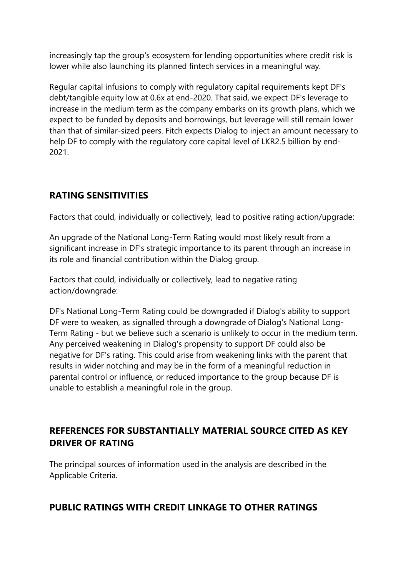increasingly tap the group's ecosystem for lending opportunities where credit risk is lower while also launching its planned fintech services in a meaningful way.

Regular capital infusions to comply with regulatory capital requirements kept DF's debt/tangible equity low at 0.6x at end-2020. That said, we expect DF's leverage to increase in the medium term as the company embarks on its growth plans, which we expect to be funded by deposits and borrowings, but leverage will still remain lower than that of similar-sized peers. Fitch expects Dialog to inject an amount necessary to help DF to comply with the regulatory core capital level of LKR2.5 billion by end-2021.

# **RATING SENSITIVITIES**

Factors that could, individually or collectively, lead to positive rating action/upgrade:

An upgrade of the National Long-Term Rating would most likely result from a significant increase in DF's strategic importance to its parent through an increase in its role and financial contribution within the Dialog group.

Factors that could, individually or collectively, lead to negative rating action/downgrade:

DF's National Long-Term Rating could be downgraded if Dialog's ability to support DF were to weaken, as signalled through a downgrade of Dialog's National Long-Term Rating - but we believe such a scenario is unlikely to occur in the medium term. Any perceived weakening in Dialog's propensity to support DF could also be negative for DF's rating. This could arise from weakening links with the parent that results in wider notching and may be in the form of a meaningful reduction in parental control or influence, or reduced importance to the group because DF is unable to establish a meaningful role in the group.

# **REFERENCES FOR SUBSTANTIALLY MATERIAL SOURCE CITED AS KEY DRIVER OF RATING**

The principal sources of information used in the analysis are described in the Applicable Criteria.

## **PUBLIC RATINGS WITH CREDIT LINKAGE TO OTHER RATINGS**